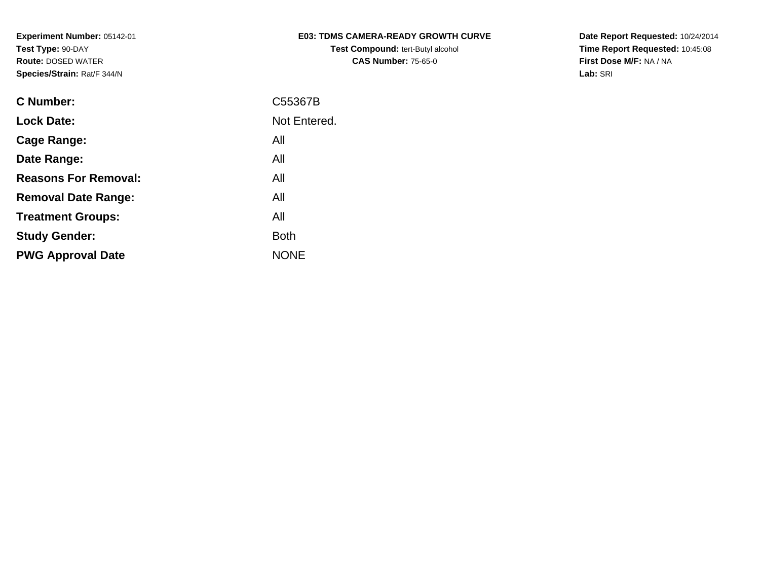| <b>E03: TDMS CAMERA-READY GROWTH CURVE</b> |
|--------------------------------------------|
| <b>Test Compound: tert-Butyl alcohol</b>   |
| <b>CAS Number: 75-65-0</b>                 |

**Date Report Requested:** 10/24/2014 **Time Report Requested:** 10:45:08**First Dose M/F:** NA / NA**Lab:** SRI

| <b>C Number:</b>            | C55367B      |
|-----------------------------|--------------|
| <b>Lock Date:</b>           | Not Entered. |
| <b>Cage Range:</b>          | All          |
| Date Range:                 | All          |
| <b>Reasons For Removal:</b> | All          |
| <b>Removal Date Range:</b>  | All          |
| <b>Treatment Groups:</b>    | All          |
| <b>Study Gender:</b>        | <b>Both</b>  |
| <b>PWG Approval Date</b>    | <b>NONE</b>  |
|                             |              |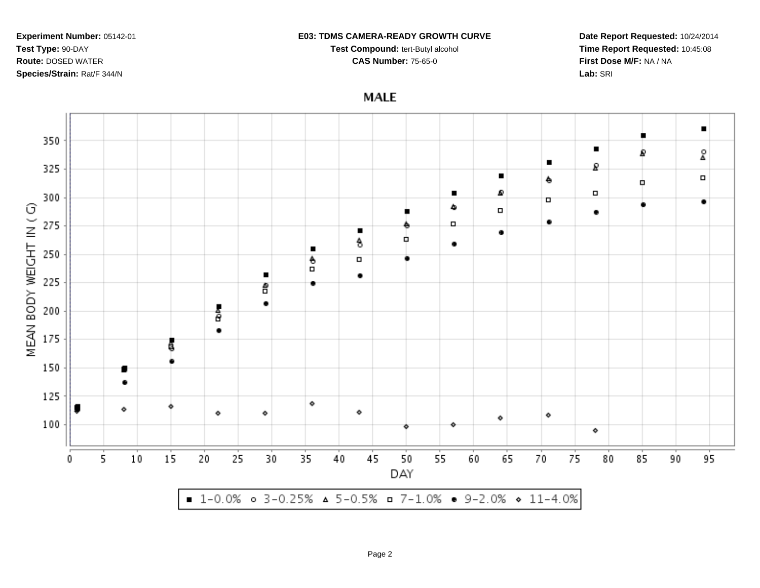#### **E03: TDMS CAMERA-READY GROWTH CURVE**

**Test Compound:** tert-Butyl alcohol **CAS Number:** 75-65-0

**Date Report Requested:** 10/24/2014**Time Report Requested:** 10:45:08**First Dose M/F:** NA / NA**Lab:** SRI

**MALE** 

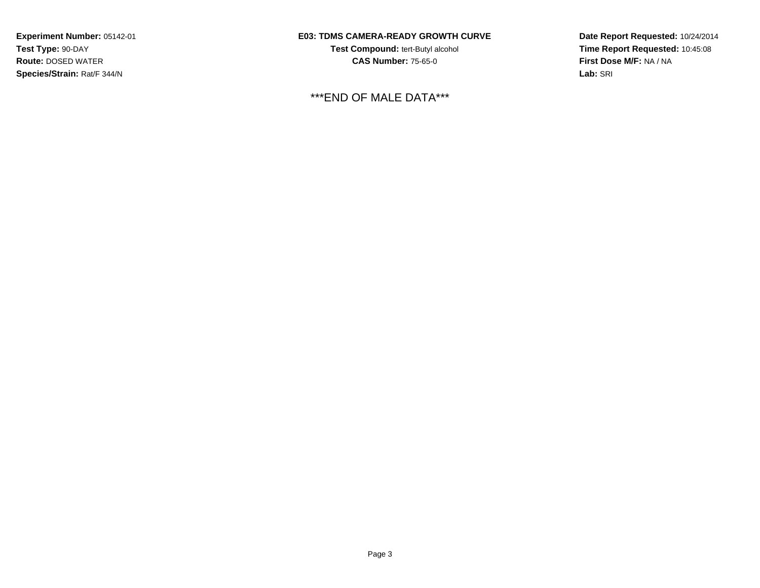## **E03: TDMS CAMERA-READY GROWTH CURVE**

**Test Compound:** tert-Butyl alcohol **CAS Number:** 75-65-0

## \*\*\*END OF MALE DATA\*\*\*

**Date Report Requested:** 10/24/2014**Time Report Requested:** 10:45:08**First Dose M/F:** NA / NA**Lab:** SRI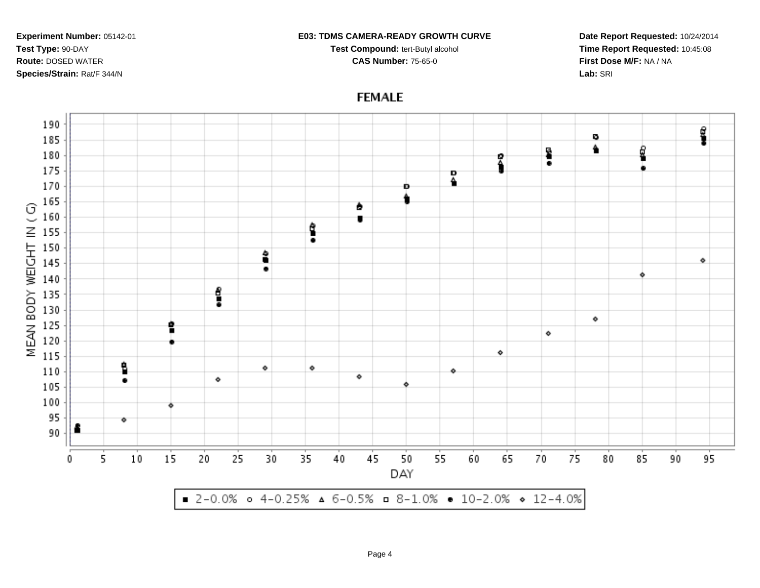#### **E03: TDMS CAMERA-READY GROWTH CURVE**

**Test Compound:** tert-Butyl alcohol **CAS Number:** 75-65-0

**Date Report Requested:** 10/24/2014**Time Report Requested:** 10:45:08**First Dose M/F:** NA / NA**Lab:** SRI

# **FEMALE**